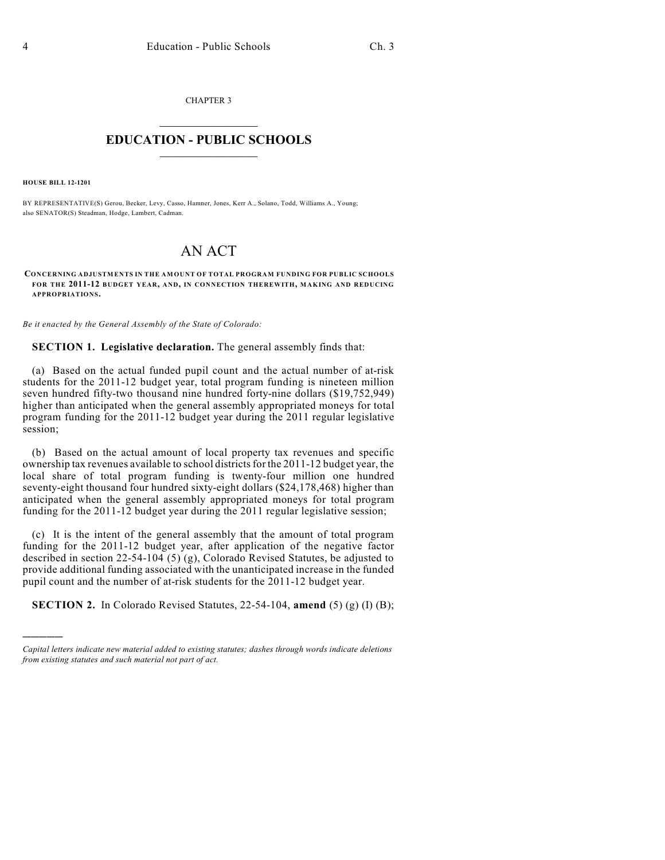CHAPTER 3  $\overline{\phantom{a}}$  . The set of the set of the set of the set of the set of the set of the set of the set of the set of the set of the set of the set of the set of the set of the set of the set of the set of the set of the set o

## **EDUCATION - PUBLIC SCHOOLS**  $\_$   $\_$   $\_$   $\_$   $\_$   $\_$   $\_$   $\_$   $\_$

**HOUSE BILL 12-1201**

)))))

BY REPRESENTATIVE(S) Gerou, Becker, Levy, Casso, Hamner, Jones, Kerr A., Solano, Todd, Williams A., Young; also SENATOR(S) Steadman, Hodge, Lambert, Cadman.

## AN ACT

**CONCERNING ADJUSTMENTS IN THE AMOUNT OF TOTAL PROGRAM FUNDING FOR PUBLIC SCHOOLS FOR THE 2011-12 BUDGET YEAR, AND, IN CONNECTION THEREWITH, MAKING AND REDUCING APPROPRIATIONS.**

*Be it enacted by the General Assembly of the State of Colorado:*

**SECTION 1. Legislative declaration.** The general assembly finds that:

(a) Based on the actual funded pupil count and the actual number of at-risk students for the 2011-12 budget year, total program funding is nineteen million seven hundred fifty-two thousand nine hundred forty-nine dollars (\$19,752,949) higher than anticipated when the general assembly appropriated moneys for total program funding for the 2011-12 budget year during the 2011 regular legislative session;

(b) Based on the actual amount of local property tax revenues and specific ownership tax revenues available to school districts for the 2011-12 budget year, the local share of total program funding is twenty-four million one hundred seventy-eight thousand four hundred sixty-eight dollars (\$24,178,468) higher than anticipated when the general assembly appropriated moneys for total program funding for the 2011-12 budget year during the 2011 regular legislative session;

(c) It is the intent of the general assembly that the amount of total program funding for the 2011-12 budget year, after application of the negative factor described in section 22-54-104 (5) (g), Colorado Revised Statutes, be adjusted to provide additional funding associated with the unanticipated increase in the funded pupil count and the number of at-risk students for the 2011-12 budget year.

**SECTION 2.** In Colorado Revised Statutes, 22-54-104, **amend** (5) (g) (I) (B);

*Capital letters indicate new material added to existing statutes; dashes through words indicate deletions from existing statutes and such material not part of act.*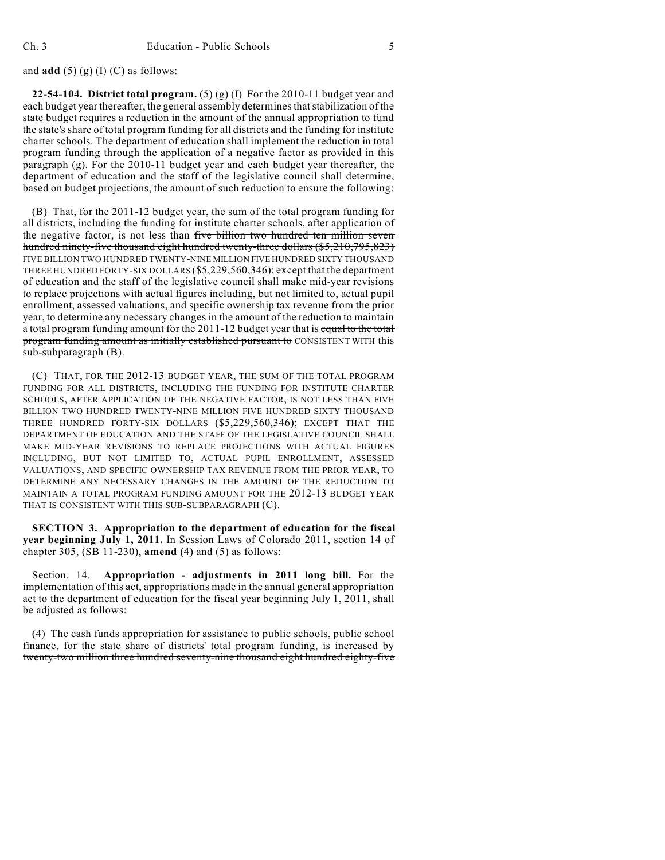and  $add(5)(g)(I)(C)$  as follows:

**22-54-104. District total program.** (5) (g) (I) For the 2010-11 budget year and each budget year thereafter, the general assembly determines that stabilization of the state budget requires a reduction in the amount of the annual appropriation to fund the state's share of total program funding for all districts and the funding for institute charter schools. The department of education shall implement the reduction in total program funding through the application of a negative factor as provided in this paragraph (g). For the 2010-11 budget year and each budget year thereafter, the department of education and the staff of the legislative council shall determine, based on budget projections, the amount of such reduction to ensure the following:

(B) That, for the 2011-12 budget year, the sum of the total program funding for all districts, including the funding for institute charter schools, after application of the negative factor, is not less than five billion two hundred ten million seven hundred ninety-five thousand eight hundred twenty-three dollars (\$5,210,795,823) FIVE BILLION TWO HUNDRED TWENTY-NINE MILLION FIVE HUNDRED SIXTY THOUSAND THREE HUNDRED FORTY-SIX DOLLARS (\$5,229,560,346); except that the department of education and the staff of the legislative council shall make mid-year revisions to replace projections with actual figures including, but not limited to, actual pupil enrollment, assessed valuations, and specific ownership tax revenue from the prior year, to determine any necessary changes in the amount of the reduction to maintain a total program funding amount for the 2011-12 budget year that is equal to the total program funding amount as initially established pursuant to CONSISTENT WITH this sub-subparagraph (B).

(C) THAT, FOR THE 2012-13 BUDGET YEAR, THE SUM OF THE TOTAL PROGRAM FUNDING FOR ALL DISTRICTS, INCLUDING THE FUNDING FOR INSTITUTE CHARTER SCHOOLS, AFTER APPLICATION OF THE NEGATIVE FACTOR, IS NOT LESS THAN FIVE BILLION TWO HUNDRED TWENTY-NINE MILLION FIVE HUNDRED SIXTY THOUSAND THREE HUNDRED FORTY-SIX DOLLARS (\$5,229,560,346); EXCEPT THAT THE DEPARTMENT OF EDUCATION AND THE STAFF OF THE LEGISLATIVE COUNCIL SHALL MAKE MID-YEAR REVISIONS TO REPLACE PROJECTIONS WITH ACTUAL FIGURES INCLUDING, BUT NOT LIMITED TO, ACTUAL PUPIL ENROLLMENT, ASSESSED VALUATIONS, AND SPECIFIC OWNERSHIP TAX REVENUE FROM THE PRIOR YEAR, TO DETERMINE ANY NECESSARY CHANGES IN THE AMOUNT OF THE REDUCTION TO MAINTAIN A TOTAL PROGRAM FUNDING AMOUNT FOR THE 2012-13 BUDGET YEAR THAT IS CONSISTENT WITH THIS SUB-SUBPARAGRAPH (C).

**SECTION 3. Appropriation to the department of education for the fiscal year beginning July 1, 2011.** In Session Laws of Colorado 2011, section 14 of chapter 305, (SB 11-230), **amend** (4) and (5) as follows:

Section. 14. **Appropriation - adjustments in 2011 long bill.** For the implementation of this act, appropriations made in the annual general appropriation act to the department of education for the fiscal year beginning July 1, 2011, shall be adjusted as follows:

(4) The cash funds appropriation for assistance to public schools, public school finance, for the state share of districts' total program funding, is increased by twenty-two million three hundred seventy-nine thousand eight hundred eighty-five